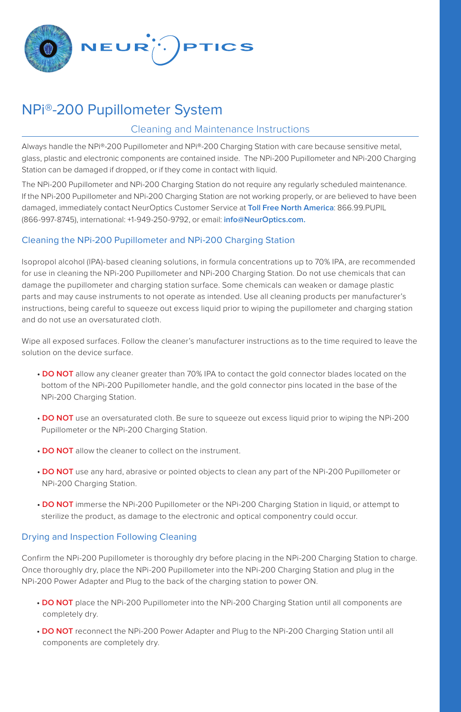

# NPi®-200 Pupillometer System

## Cleaning and Maintenance Instructions

Always handle the NPi®-200 Pupillometer and NPi®-200 Charging Station with care because sensitive metal, glass, plastic and electronic components are contained inside. The NPi-200 Pupillometer and NPi-200 Charging Station can be damaged if dropped, or if they come in contact with liquid.

The NPi-200 Pupillometer and NPi-200 Charging Station do not require any regularly scheduled maintenance. If the NPi-200 Pupillometer and NPi-200 Charging Station are not working properly, or are believed to have been damaged, immediately contact NeurOptics Customer Service at **Toll Free North America**: 866.99.PUPIL (866-997-8745), international: +1-949-250-9792, or email: **info@NeurOptics.com.**

## Cleaning the NPi-200 Pupillometer and NPi-200 Charging Station

Isopropol alcohol (IPA)-based cleaning solutions, in formula concentrations up to 70% IPA, are recommended for use in cleaning the NPi-200 Pupillometer and NPi-200 Charging Station. Do not use chemicals that can damage the pupillometer and charging station surface. Some chemicals can weaken or damage plastic parts and may cause instruments to not operate as intended. Use all cleaning products per manufacturer's instructions, being careful to squeeze out excess liquid prior to wiping the pupillometer and charging station and do not use an oversaturated cloth.

Wipe all exposed surfaces. Follow the cleaner's manufacturer instructions as to the time required to leave the solution on the device surface.

- **DO NOT** allow any cleaner greater than 70% IPA to contact the gold connector blades located on the bottom of the NPi-200 Pupillometer handle, and the gold connector pins located in the base of the NPi-200 Charging Station.
- **DO NOT** use an oversaturated cloth. Be sure to squeeze out excess liquid prior to wiping the NPi-200 Pupillometer or the NPi-200 Charging Station.
- **DO NOT** allow the cleaner to collect on the instrument.
- **DO NOT** use any hard, abrasive or pointed objects to clean any part of the NPi-200 Pupillometer or NPi-200 Charging Station.
- **DO NOT** immerse the NPi-200 Pupillometer or the NPi-200 Charging Station in liquid, or attempt to sterilize the product, as damage to the electronic and optical componentry could occur.

### Drying and Inspection Following Cleaning

Confirm the NPi-200 Pupillometer is thoroughly dry before placing in the NPi-200 Charging Station to charge. Once thoroughly dry, place the NPi-200 Pupillometer into the NPi-200 Charging Station and plug in the NPi-200 Power Adapter and Plug to the back of the charging station to power ON.

- **DO NOT** place the NPi-200 Pupillometer into the NPi-200 Charging Station until all components are completely dry.
- **DO NOT** reconnect the NPi-200 Power Adapter and Plug to the NPi-200 Charging Station until all components are completely dry.